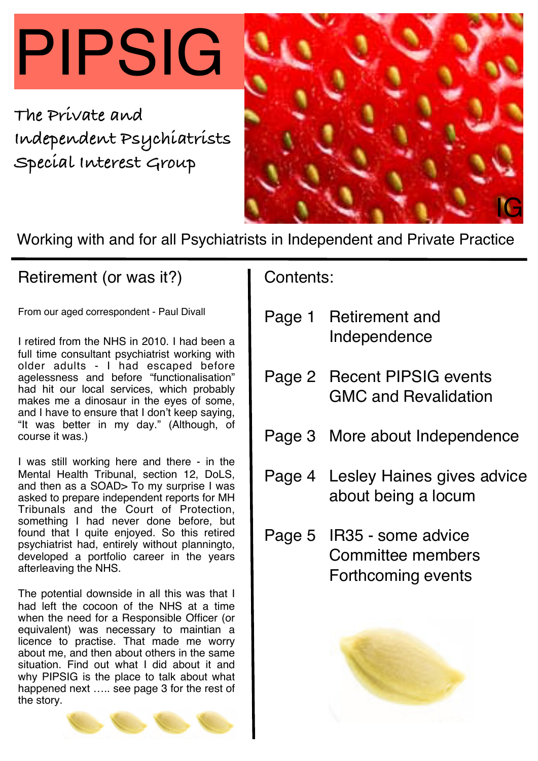# PIPSIG

**The Private and Independent Psychiatrists Special Interest Group**



Working with and for all Psychiatrists in Independent and Private Practice

## Retirement (or was it?)

From our aged correspondent - Paul Divall

I retired from the NHS in 2010. I had been a full time consultant psychiatrist working with older adults - I had escaped before agelessness and before "functionalisation" had hit our local services, which probably makes me a dinosaur in the eyes of some, and I have to ensure that I don't keep saying, "It was better in my day." (Although, of course it was.)

I was still working here and there - in the Mental Health Tribunal, section 12, DoLS, and then as a SOAD> To my surprise I was asked to prepare independent reports for MH Tribunals and the Court of Protection, something I had never done before, but found that I quite enjoyed. So this retired psychiatrist had, entirely without planningto, developed a portfolio career in the years afterleaving the NHS.

The potential downside in all this was that I had left the cocoon of the NHS at a time when the need for a Responsible Officer (or equivalent) was necessary to maintian a licence to practise. That made me worry about me, and then about others in the same situation. Find out what I did about it and why PIPSIG is the place to talk about what happened next ..... see page 3 for the rest of the story.



Contents:

- Page 1 Retirement and Independence
- Page 2 Recent PIPSIG events GMC and Revalidation
- Page 3 More about Independence
- Page 4 Lesley Haines gives advice about being a locum
- Page 5 IR35 some advice Committee members Forthcoming events

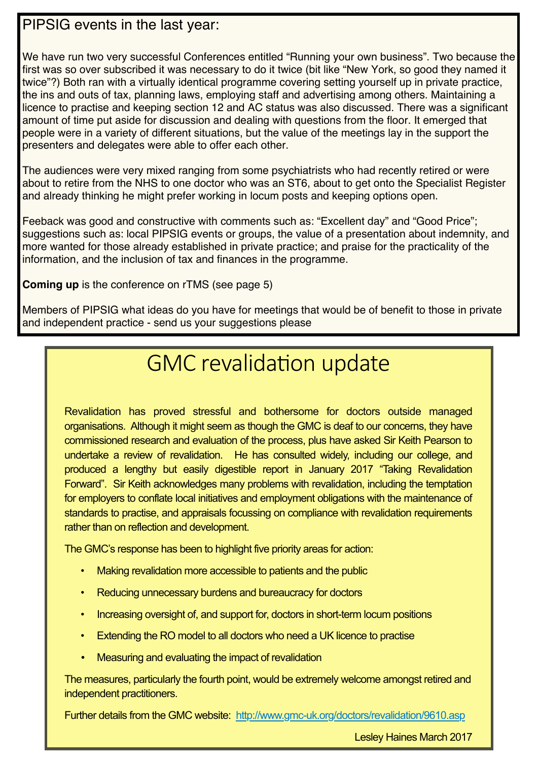### PIPSIG events in the last year:

We have run two very successful Conferences entitled "Running your own business". Two because the first was so over subscribed it was necessary to do it twice (bit like "New York, so good they named it twice"?) Both ran with a virtually identical programme covering setting yourself up in private practice, the ins and outs of tax, planning laws, employing staff and advertising among others. Maintaining a licence to practise and keeping section 12 and AC status was also discussed. There was a significant amount of time put aside for discussion and dealing with questions from the floor. It emerged that people were in a variety of different situations, but the value of the meetings lay in the support the presenters and delegates were able to offer each other.

The audiences were very mixed ranging from some psychiatrists who had recently retired or were about to retire from the NHS to one doctor who was an ST6, about to get onto the Specialist Register and already thinking he might prefer working in locum posts and keeping options open.

Feeback was good and constructive with comments such as: "Excellent day" and "Good Price"; suggestions such as: local PIPSIG events or groups, the value of a presentation about indemnity, and more wanted for those already established in private practice; and praise for the practicality of the information, and the inclusion of tax and finances in the programme.

**Coming up** is the conference on rTMS (see page 5)

Members of PIPSIG what ideas do you have for meetings that would be of benefit to those in private and independent practice - send us your suggestions please

# GMC revalidation update

Revalidation has proved stressful and bothersome for doctors outside managed organisations. Although it might seem as though the GMC is deaf to our concerns, they have commissioned research and evaluation of the process, plus have asked Sir Keith Pearson to undertake a review of revalidation. He has consulted widely, including our college, and produced a lengthy but easily digestible report in January 2017 "Taking Revalidation Forward". Sir Keith acknowledges many problems with revalidation, including the temptation for employers to conflate local initiatives and employment obligations with the maintenance of standards to practise, and appraisals focussing on compliance with revalidation requirements rather than on reflection and development.

The GMC's response has been to highlight five priority areas for action:

- Making revalidation more accessible to patients and the public
- Reducing unnecessary burdens and bureaucracy for doctors
- Increasing oversight of, and support for, doctors in short-term locum positions
- Extending the RO model to all doctors who need a UK licence to practise
- Measuring and evaluating the impact of revalidation

The measures, particularly the fourth point, would be extremely welcome amongst retired and independent practitioners.

Further details from the GMC website: <http://www.gmc-uk.org/doctors/revalidation/9610.asp>

Lesley Haines March 2017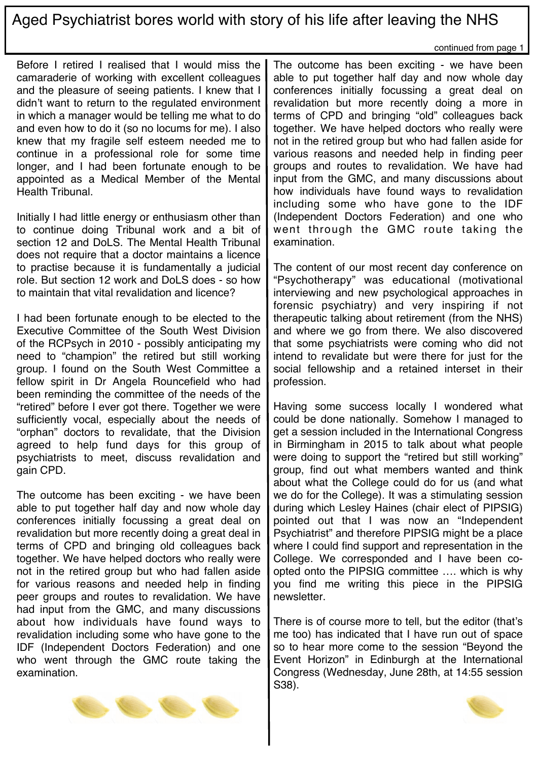## Aged Psychiatrist bores world with story of his life after leaving the NHS

continued from page 1

Before I retired I realised that I would miss the camaraderie of working with excellent colleagues and the pleasure of seeing patients. I knew that I didn't want to return to the regulated environment in which a manager would be telling me what to do and even how to do it (so no locums for me). I also knew that my fragile self esteem needed me to continue in a professional role for some time longer, and I had been fortunate enough to be appointed as a Medical Member of the Mental Health Tribunal.

Initially I had little energy or enthusiasm other than to continue doing Tribunal work and a bit of section 12 and DoLS. The Mental Health Tribunal does not require that a doctor maintains a licence to practise because it is fundamentally a judicial role. But section 12 work and DoLS does - so how to maintain that vital revalidation and licence?

I had been fortunate enough to be elected to the Executive Committee of the South West Division of the RCPsych in 2010 - possibly anticipating my need to "champion" the retired but still working group. I found on the South West Committee a fellow spirit in Dr Angela Rouncefield who had been reminding the committee of the needs of the "retired" before I ever got there. Together we were sufficiently vocal, especially about the needs of "orphan" doctors to revalidate, that the Division agreed to help fund days for this group of psychiatrists to meet, discuss revalidation and gain CPD.

The outcome has been exciting - we have been able to put together half day and now whole day conferences initially focussing a great deal on revalidation but more recently doing a great deal in terms of CPD and bringing old colleagues back together. We have helped doctors who really were not in the retired group but who had fallen aside for various reasons and needed help in finding peer groups and routes to revalidation. We have had input from the GMC, and many discussions about how individuals have found ways to revalidation including some who have gone to the IDF (Independent Doctors Federation) and one who went through the GMC route taking the examination.

The outcome has been exciting - we have been able to put together half day and now whole day conferences initially focussing a great deal on revalidation but more recently doing a more in terms of CPD and bringing "old" colleagues back together. We have helped doctors who really were not in the retired group but who had fallen aside for various reasons and needed help in finding peer groups and routes to revalidation. We have had input from the GMC, and many discussions about how individuals have found ways to revalidation including some who have gone to the IDF (Independent Doctors Federation) and one who went through the GMC route taking the examination.

The content of our most recent day conference on "Psychotherapy" was educational (motivational interviewing and new psychological approaches in forensic psychiatry) and very inspiring if not therapeutic talking about retirement (from the NHS) and where we go from there. We also discovered that some psychiatrists were coming who did not intend to revalidate but were there for just for the social fellowship and a retained interset in their profession.

Having some success locally I wondered what could be done nationally. Somehow I managed to get a session included in the International Congress in Birmingham in 2015 to talk about what people were doing to support the "retired but still working" group, find out what members wanted and think about what the College could do for us (and what we do for the College). It was a stimulating session during which Lesley Haines (chair elect of PIPSIG) pointed out that I was now an "Independent Psychiatrist" and therefore PIPSIG might be a place where I could find support and representation in the College. We corresponded and I have been coopted onto the PIPSIG committee …. which is why you find me writing this piece in the PIPSIG newsletter.

There is of course more to tell, but the editor (that's me too) has indicated that I have run out of space so to hear more come to the session "Beyond the Event Horizon" in Edinburgh at the International Congress (Wednesday, June 28th, at 14:55 session S38).



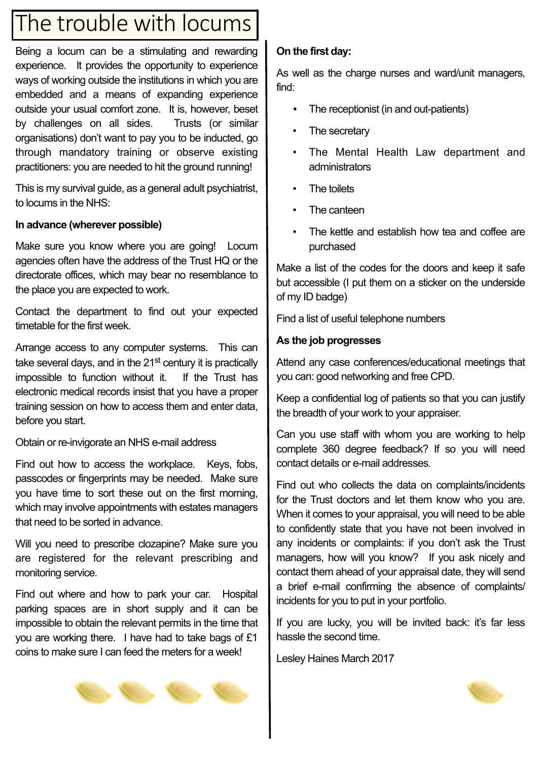## The trouble with locums

Being a locum can be a stimulating and rewarding experience. It provides the opportunity to experience ways of working outside the institutions in which you are embedded and a means of expanding experience outside your usual comfort zone. It is, however, beset by challenges on all sides. Trusts (or similar organisations) don't want to pay you to be inducted, go through mandatory training or observe existing practitioners: you are needed to hit the ground running!

This is my survival guide, as a general adult psychiatrist, to locums in the NHS:

#### **In advance (wherever possible)**

Make sure you know where you are going! Locum agencies often have the address of the Trust HQ or the directorate offices, which may bear no resemblance to the place you are expected to work.

Contact the department to find out your expected timetable for the first week.

Arrange access to any computer systems. This can take several days, and in the 21<sup>st</sup> century it is practically impossible to function without it. If the Trust has electronic medical records insist that you have a proper training session on how to access them and enter data, before you start.

Obtain or re-invigorate an NHS e-mail address

Find out how to access the workplace. Keys, fobs, passcodes or fingerprints may be needed. Make sure you have time to sort these out on the first morning, which may involve appointments with estates managers that need to be sorted in advance.

Will you need to prescribe clozapine? Make sure you are registered for the relevant prescribing and monitoring service.

Find out where and how to park your car. Hospital parking spaces are in short supply and it can be impossible to obtain the relevant permits in the time that you are working there. I have had to take bags of £1 coins to make sure I can feed the meters for a week!

#### **On the first day:**

As well as the charge nurses and ward/unit managers, find:

- The receptionist (in and out-patients)
- The secretary
- The Mental Health Law department and administrators
- The toilets
- The canteen
- The kettle and establish how tea and coffee are purchased

Make a list of the codes for the doors and keep it safe but accessible (I put them on a sticker on the underside of my ID badge)

Find a list of useful telephone numbers

#### **As the job progresses**

Attend any case conferences/educational meetings that you can: good networking and free CPD.

Keep a confidential log of patients so that you can justify the breadth of your work to your appraiser.

Can you use staff with whom you are working to help complete 360 degree feedback? If so you will need contact details or e-mail addresses.

Find out who collects the data on complaints/incidents for the Trust doctors and let them know who you are. When it comes to your appraisal, you will need to be able to confidently state that you have not been involved in any incidents or complaints: if you don't ask the Trust managers, how will you know? If you ask nicely and contact them ahead of your appraisal date, they will send a brief e-mail confirming the absence of complaints/ incidents for you to put in your portfolio.

If you are lucky, you will be invited back: it's far less hassle the second time.

Lesley Haines March 2017